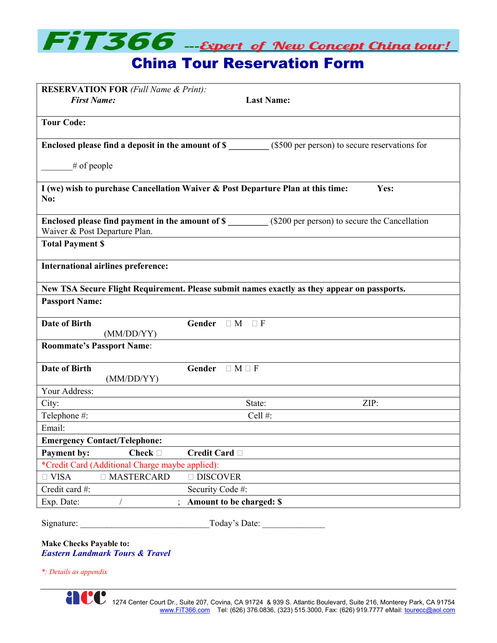

| <b>RESERVATION FOR (Full Name &amp; Print):</b><br><b>First Name:</b>                                                                      | <b>Last Name:</b>        |
|--------------------------------------------------------------------------------------------------------------------------------------------|--------------------------|
| <b>Tour Code:</b>                                                                                                                          |                          |
| Enclosed please find a deposit in the amount of \$ (\$500 per person) to secure reservations for                                           |                          |
| $#$ of people                                                                                                                              |                          |
| I (we) wish to purchase Cancellation Waiver & Post Departure Plan at this time:<br>Yes:<br>No:                                             |                          |
| Enclosed please find payment in the amount of \$ __________ (\$200 per person) to secure the Cancellation<br>Waiver & Post Departure Plan. |                          |
| <b>Total Payment \$</b>                                                                                                                    |                          |
| International airlines preference:                                                                                                         |                          |
| New TSA Secure Flight Requirement. Please submit names exactly as they appear on passports.                                                |                          |
| <b>Passport Name:</b>                                                                                                                      |                          |
| <b>Date of Birth</b><br>(MM/DD/YY)                                                                                                         | Gender $\Box M \Box F$   |
| <b>Roommate's Passport Name:</b>                                                                                                           |                          |
| <b>Date of Birth</b><br>(MM/DD/YY)                                                                                                         | Gender $\Box$ M $\Box$ F |
| Your Address:                                                                                                                              |                          |
| City:                                                                                                                                      | ZIP:<br>State:           |
| Telephone #:                                                                                                                               | Cell#:                   |
| Email:                                                                                                                                     |                          |
| <b>Emergency Contact/Telephone:</b>                                                                                                        |                          |
| Payment by:<br>Check $\Box$                                                                                                                | Credit Card □            |
| *Credit Card (Additional Charge maybe applied):                                                                                            |                          |
| □ MASTERCARD<br>$\Box$ VISA                                                                                                                | $\Box$ DISCOVER          |
| Credit card #:                                                                                                                             | Security Code #:         |
| Exp. Date:                                                                                                                                 | Amount to be charged: \$ |
| Signature:                                                                                                                                 | Today's Date:            |

Make Checks Payable to: Eastern Landmark Tours & Travel

\*: Details as appendix